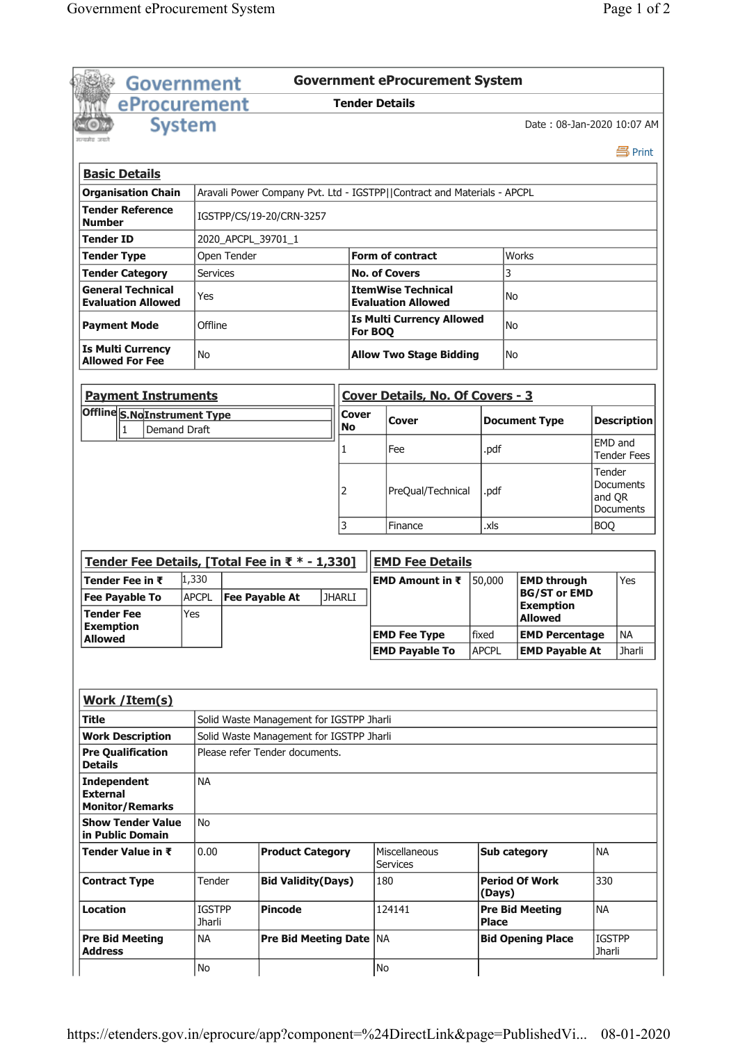|                                                    | <b>Government</b>        |                                          |               | <b>Government eProcurement System</b>                                   |              |                                         |                                |                     |
|----------------------------------------------------|--------------------------|------------------------------------------|---------------|-------------------------------------------------------------------------|--------------|-----------------------------------------|--------------------------------|---------------------|
|                                                    | eProcurement             |                                          |               | <b>Tender Details</b>                                                   |              |                                         |                                |                     |
|                                                    | <b>System</b>            |                                          |               |                                                                         |              | Date: 08-Jan-2020 10:07 AM              |                                |                     |
|                                                    |                          |                                          |               |                                                                         |              |                                         |                                | 昌 Print             |
| <b>Basic Details</b>                               |                          |                                          |               |                                                                         |              |                                         |                                |                     |
| <b>Organisation Chain</b>                          |                          |                                          |               | Aravali Power Company Pvt. Ltd - IGSTPP  Contract and Materials - APCPL |              |                                         |                                |                     |
| <b>Tender Reference</b><br><b>Number</b>           | IGSTPP/CS/19-20/CRN-3257 |                                          |               |                                                                         |              |                                         |                                |                     |
| <b>Tender ID</b>                                   | 2020_APCPL_39701_1       |                                          |               |                                                                         |              |                                         |                                |                     |
| <b>Tender Type</b>                                 | Open Tender              |                                          |               | Form of contract                                                        |              | Works                                   |                                |                     |
| <b>Tender Category</b>                             | <b>Services</b>          |                                          |               | <b>No. of Covers</b>                                                    |              | 3                                       |                                |                     |
| <b>General Technical</b>                           | Yes                      |                                          |               | <b>ItemWise Technical</b>                                               |              | No                                      |                                |                     |
| <b>Evaluation Allowed</b>                          |                          |                                          |               | <b>Evaluation Allowed</b>                                               |              |                                         |                                |                     |
| <b>Payment Mode</b>                                | Offline                  |                                          |               | <b>Is Multi Currency Allowed</b><br>For BOQ                             |              | No                                      |                                |                     |
| <b>Is Multi Currency</b><br><b>Allowed For Fee</b> | No                       |                                          |               | <b>Allow Two Stage Bidding</b>                                          |              | No                                      |                                |                     |
| <b>Payment Instruments</b>                         |                          |                                          |               | <b>Cover Details, No. Of Covers - 3</b>                                 |              |                                         |                                |                     |
| Offline S.NoInstrument Type                        |                          |                                          | Cover         | Cover                                                                   |              | <b>Document Type</b>                    |                                | <b>Description</b>  |
| $\mathbf{1}$<br>Demand Draft                       |                          |                                          | <b>No</b>     |                                                                         |              |                                         |                                |                     |
|                                                    |                          |                                          | 1             | Fee                                                                     | .pdf         |                                         | EMD and                        | <b>Tender Fees</b>  |
|                                                    |                          |                                          |               |                                                                         |              |                                         | Tender                         |                     |
|                                                    |                          |                                          | 2             | PreQual/Technical                                                       | .pdf         |                                         |                                | Documents           |
|                                                    |                          |                                          |               |                                                                         |              |                                         |                                | and QR<br>Documents |
|                                                    |                          |                                          | 3             | Finance                                                                 | .xls         |                                         | <b>BOQ</b>                     |                     |
|                                                    |                          |                                          |               |                                                                         |              |                                         |                                |                     |
| Tender Fee Details, [Total Fee in ₹ * - 1,330]     |                          |                                          |               | <b>EMD Fee Details</b>                                                  |              |                                         |                                |                     |
| Tender Fee in ₹                                    | 1,330                    |                                          |               | <b>EMD Amount in ₹</b>                                                  | 50,000       | <b>EMD through</b>                      |                                | Yes                 |
| <b>Fee Payable To</b>                              | <b>APCPL</b>             | <b>Fee Payable At</b>                    | <b>JHARLI</b> |                                                                         |              | <b>BG/ST or EMD</b>                     |                                |                     |
| <b>Tender Fee</b>                                  | Yes                      |                                          |               |                                                                         |              | <b>Exemption</b>                        |                                |                     |
| <b>Exemption</b>                                   |                          |                                          |               | <b>EMD Fee Type</b>                                                     | fixed        | <b>Allowed</b><br><b>EMD Percentage</b> |                                | <b>NA</b>           |
| <b>Allowed</b>                                     |                          |                                          |               | <b>EMD Payable To</b>                                                   | <b>APCPL</b> | <b>EMD Payable At</b>                   |                                | <b>Jharli</b>       |
|                                                    |                          |                                          |               |                                                                         |              |                                         |                                |                     |
| Work / Item(s)                                     |                          |                                          |               |                                                                         |              |                                         |                                |                     |
| Title                                              |                          | Solid Waste Management for IGSTPP Jharli |               |                                                                         |              |                                         |                                |                     |
| <b>Work Description</b>                            |                          | Solid Waste Management for IGSTPP Jharli |               |                                                                         |              |                                         |                                |                     |
| <b>Pre Qualification</b><br><b>Details</b>         |                          | Please refer Tender documents.           |               |                                                                         |              |                                         |                                |                     |
| <b>Independent</b><br><b>External</b>              | <b>NA</b>                |                                          |               |                                                                         |              |                                         |                                |                     |
| <b>Monitor/Remarks</b>                             |                          |                                          |               |                                                                         |              |                                         |                                |                     |
| <b>Show Tender Value</b><br>in Public Domain       | <b>No</b>                |                                          |               |                                                                         |              |                                         |                                |                     |
| Tender Value in ₹                                  | 0.00                     | <b>Product Category</b>                  |               | Miscellaneous<br><b>Services</b>                                        |              | <b>Sub category</b>                     | <b>NA</b>                      |                     |
| <b>Contract Type</b>                               | Tender                   | <b>Bid Validity(Days)</b>                |               | 180                                                                     | (Days)       | <b>Period Of Work</b>                   | 330                            |                     |
| <b>Location</b>                                    | <b>IGSTPP</b><br>Jharli  | <b>Pincode</b>                           |               | 124141                                                                  | <b>Place</b> | <b>Pre Bid Meeting</b>                  | <b>NA</b>                      |                     |
| <b>Pre Bid Meeting</b><br><b>Address</b>           | <b>NA</b>                | <b>Pre Bid Meeting Date NA</b>           |               |                                                                         |              | <b>Bid Opening Place</b>                | <b>IGSTPP</b><br><b>Jharli</b> |                     |
|                                                    | No                       |                                          |               | No                                                                      |              |                                         |                                |                     |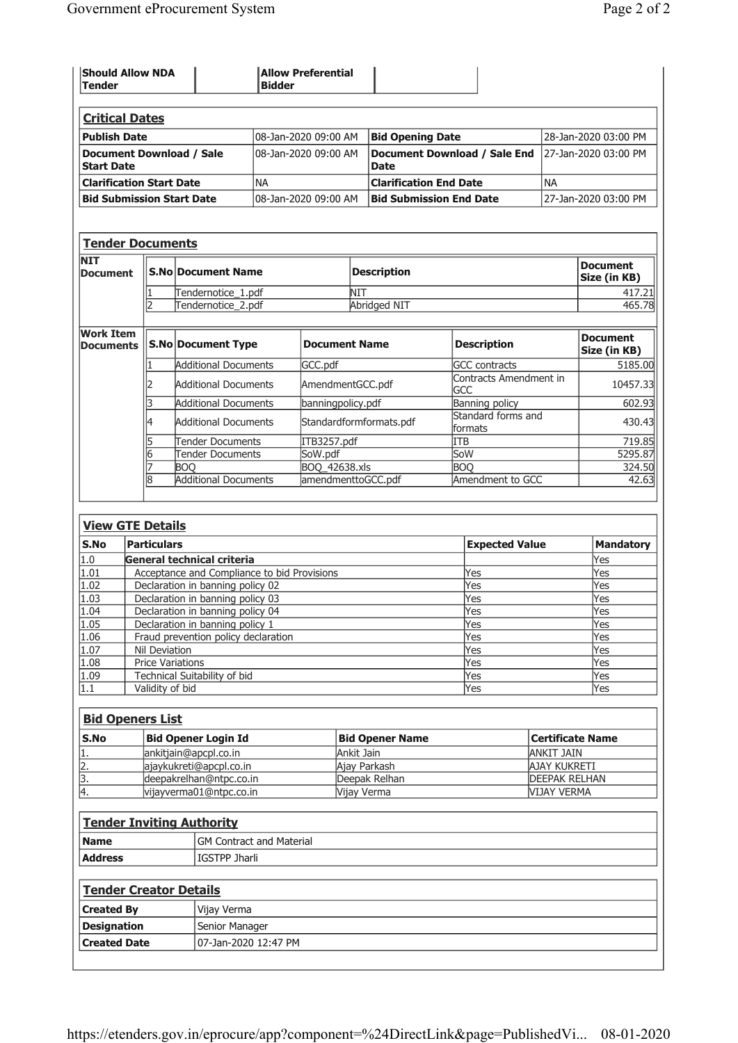| <b>Should Allow NDA</b><br><b>Tender</b>      | <b>Allow Preferential</b><br><b>Bidder</b> |                                             |                       |
|-----------------------------------------------|--------------------------------------------|---------------------------------------------|-----------------------|
| <b>Critical Dates</b>                         |                                            |                                             |                       |
| <b>Publish Date</b>                           | 08-Jan-2020 09:00 AM                       | <b>Bid Opening Date</b>                     | 28-Jan-2020 03:00 PM  |
| Document Download / Sale<br><b>Start Date</b> | l08-Jan-2020 09:00 AM                      | Document Download / Sale End<br><b>Date</b> | 127-Jan-2020 03:00 PM |
| <b>Clarification Start Date</b>               | <b>INA</b>                                 | <b>Clarification End Date</b>               | <b>NA</b>             |
| <b>Bid Submission Start Date</b>              | l08-Jan-2020 09:00 AM                      | <b>Bid Submission End Date</b>              | 127-Jan-2020 03:00 PM |

| Tender Documents              |  |                    |                     |                          |  |
|-------------------------------|--|--------------------|---------------------|--------------------------|--|
| <b>NIT</b><br><b>Document</b> |  | S.No Document Name | <b>Description</b>  | Document<br>Size (in KB) |  |
|                               |  | Tendernotice_1.pdf |                     |                          |  |
|                               |  | Tendernotice 2.pdf | <b>Abridged NIT</b> | 465.78                   |  |
|                               |  |                    |                     |                          |  |

| <b>Work Item</b><br><b>Documents</b> | <b>S.No Document Type</b>   | <b>Document Name</b>    | <b>Description</b>            | <b>Document</b><br>Size (in KB) |
|--------------------------------------|-----------------------------|-------------------------|-------------------------------|---------------------------------|
|                                      | <b>Additional Documents</b> | GCC.pdf                 | <b>GCC</b> contracts          | 5185.00                         |
|                                      | <b>Additional Documents</b> | AmendmentGCC.pdf        | Contracts Amendment in<br>GCC | 10457.33                        |
|                                      | <b>Additional Documents</b> | banningpolicy.pdf       | Banning policy                | 602.93                          |
|                                      | <b>Additional Documents</b> | Standardformformats.pdf | Standard forms and<br>formats | 430.43                          |
|                                      | Tender Documents            | ITB3257.pdf             | ITB                           | 719.85                          |
|                                      | Tender Documents            | SoW.pdf                 | SoW                           | 5295.87                         |
|                                      | <b>BOO</b>                  | BOQ 42638.xls           | <b>BOO</b>                    | 324.50                          |
|                                      | <b>Additional Documents</b> | amendmenttoGCC.pdf      | Amendment to GCC              | 42.63                           |

| ,<br>- | Е. |  |
|--------|----|--|
|        |    |  |

| S.No | Particulars                                 | <b>Expected Value</b> | <b>Mandatory</b> |  |  |
|------|---------------------------------------------|-----------------------|------------------|--|--|
| 1.0  | General technical criteria                  |                       | Yes              |  |  |
| 1.01 | Acceptance and Compliance to bid Provisions | Yes                   | Yes              |  |  |
| 1.02 | Declaration in banning policy 02            | Yes                   | Yes              |  |  |
| 1.03 | Declaration in banning policy 03            | Yes                   | Yes              |  |  |
| 1.04 | Declaration in banning policy 04            | Yes                   | Yes              |  |  |
| 1.05 | Declaration in banning policy 1             | Yes                   | Yes              |  |  |
| 1.06 | Fraud prevention policy declaration         | Yes                   | Yes              |  |  |
| 1.07 | Nil Deviation                               | Yes                   | Yes              |  |  |
| 1.08 | <b>Price Variations</b>                     | Yes                   | Yes              |  |  |
| 1.09 | Technical Suitability of bid                | Yes                   | Yes              |  |  |
| 1.1  | Validity of bid                             | Yes                   | Yes              |  |  |

# Bid Openers List

| <b>S.No</b> | Bid Opener Login Id      | <b>Bid Opener Name</b> | Certificate Name      |
|-------------|--------------------------|------------------------|-----------------------|
|             | lankitjain@apcpl.co.in   | Ankit Jain             | ANKIT JAIN            |
| 12.         | lajaykukreti@apcpl.co.in | Ajay Parkash           | AJAY KUKRETI          |
| ß.          | deepakrelhan@ntpc.co.in  | Deepak Relhan          | <b>IDEEPAK RELHAN</b> |
| 4           | vijayverma01@ntpc.co.in  | Vijay Verma            | <b>VIJAY VERMA</b>    |
|             |                          |                        |                       |

| <b>Tender Inviting Authority</b> |                          |  |  |  |  |  |
|----------------------------------|--------------------------|--|--|--|--|--|
| <b>Name</b>                      | GM Contract and Material |  |  |  |  |  |
| <b>Address</b>                   | lIGSTPP Jharli           |  |  |  |  |  |
|                                  | Tender Creator Details   |  |  |  |  |  |

| <b>Created By</b>   | Vijay Verma           |
|---------------------|-----------------------|
| Designation         | Senior Manager        |
| <b>Created Date</b> | 107-Jan-2020 12:47 PM |
|                     |                       |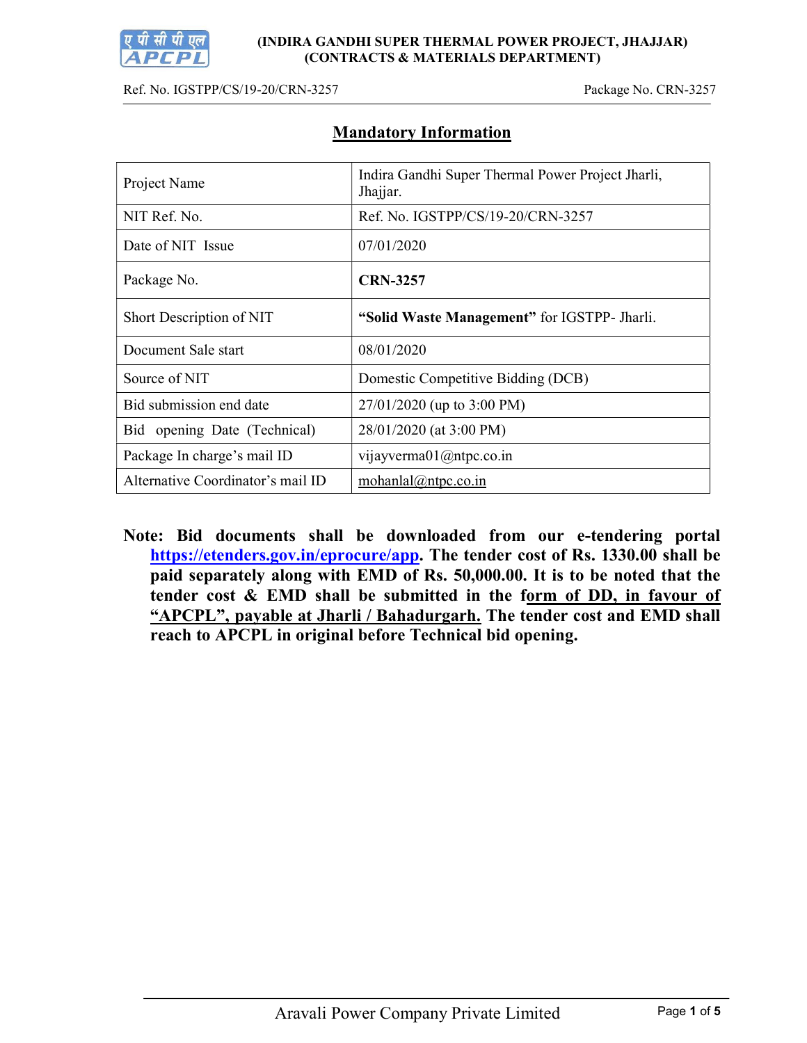

(INDIRA GANDHI SUPER THERMAL POWER PROJECT, JHAJJAR) (CONTRACTS & MATERIALS DEPARTMENT)

Ref. No. IGSTPP/CS/19-20/CRN-3257 Package No. CRN-3257

| Project Name                      | Indira Gandhi Super Thermal Power Project Jharli,<br>Jhajjar. |  |  |  |
|-----------------------------------|---------------------------------------------------------------|--|--|--|
| NIT Ref. No.                      | Ref. No. IGSTPP/CS/19-20/CRN-3257                             |  |  |  |
| Date of NIT Issue                 | 07/01/2020                                                    |  |  |  |
| Package No.                       | <b>CRN-3257</b>                                               |  |  |  |
| Short Description of NIT          | "Solid Waste Management" for IGSTPP- Jharli.                  |  |  |  |
| Document Sale start               | 08/01/2020                                                    |  |  |  |
| Source of NIT                     | Domestic Competitive Bidding (DCB)                            |  |  |  |
| Bid submission end date           | $27/01/2020$ (up to 3:00 PM)                                  |  |  |  |
| Bid opening Date (Technical)      | 28/01/2020 (at 3:00 PM)                                       |  |  |  |
| Package In charge's mail ID       | vijayverma01@ntpc.co.in                                       |  |  |  |
| Alternative Coordinator's mail ID | mohanlal@ntpc.co.in                                           |  |  |  |

# Mandatory Information

Note: Bid documents shall be downloaded from our e-tendering portal https://etenders.gov.in/eprocure/app. The tender cost of Rs. 1330.00 shall be paid separately along with EMD of Rs. 50,000.00. It is to be noted that the tender cost & EMD shall be submitted in the form of DD, in favour of "APCPL", payable at Jharli / Bahadurgarh. The tender cost and EMD shall reach to APCPL in original before Technical bid opening.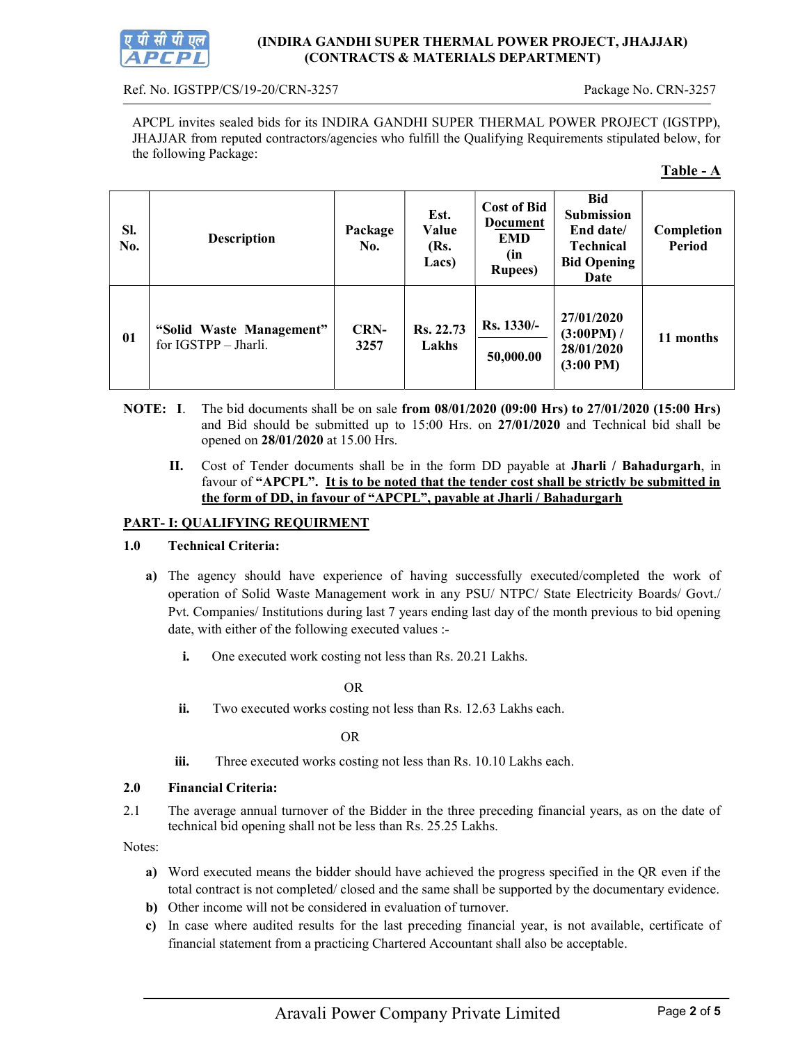

#### (INDIRA GANDHI SUPER THERMAL POWER PROJECT, JHAJJAR) (CONTRACTS & MATERIALS DEPARTMENT)

#### Ref. No. IGSTPP/CS/19-20/CRN-3257 Package No. CRN-3257

APCPL invites sealed bids for its INDIRA GANDHI SUPER THERMAL POWER PROJECT (IGSTPP), JHAJJAR from reputed contractors/agencies who fulfill the Qualifying Requirements stipulated below, for the following Package:

#### Table - A

| SI.<br>No. | <b>Description</b>                               | Package<br>No.      | Est.<br>Value<br>(Rs.<br>Lacs) | <b>Cost of Bid</b><br>Document<br><b>EMD</b><br>(in<br><b>Rupees</b> ) | <b>Bid</b><br>Submission<br>End date/<br><b>Technical</b><br><b>Bid Opening</b><br>Date | Completion<br><b>Period</b> |
|------------|--------------------------------------------------|---------------------|--------------------------------|------------------------------------------------------------------------|-----------------------------------------------------------------------------------------|-----------------------------|
| 01         | "Solid Waste Management"<br>for IGSTPP - Jharli. | <b>CRN-</b><br>3257 | Rs. 22.73<br>Lakhs             | Rs. 1330/-<br>50,000.00                                                | 27/01/2020<br>(3:00PM) /<br>28/01/2020<br>$(3:00 \text{ PM})$                           | 11 months                   |

- NOTE: I. The bid documents shall be on sale from 08/01/2020 (09:00 Hrs) to 27/01/2020 (15:00 Hrs) and Bid should be submitted up to 15:00 Hrs. on 27/01/2020 and Technical bid shall be opened on 28/01/2020 at 15.00 Hrs.
	- II. Cost of Tender documents shall be in the form DD payable at Jharli / Bahadurgarh, in favour of "APCPL". It is to be noted that the tender cost shall be strictly be submitted in the form of DD, in favour of "APCPL", payable at Jharli / Bahadurgarh

## PART- I: QUALIFYING REQUIRMENT

#### 1.0 Technical Criteria:

- a) The agency should have experience of having successfully executed/completed the work of operation of Solid Waste Management work in any PSU/ NTPC/ State Electricity Boards/ Govt./ Pvt. Companies/ Institutions during last 7 years ending last day of the month previous to bid opening date, with either of the following executed values :
	- i. One executed work costing not less than Rs. 20.21 Lakhs.

OR

ii. Two executed works costing not less than Rs. 12.63 Lakhs each.

OR

iii. Three executed works costing not less than Rs. 10.10 Lakhs each.

#### 2.0 Financial Criteria:

2.1 The average annual turnover of the Bidder in the three preceding financial years, as on the date of technical bid opening shall not be less than Rs. 25.25 Lakhs.

Notes:

- a) Word executed means the bidder should have achieved the progress specified in the QR even if the total contract is not completed/ closed and the same shall be supported by the documentary evidence.
- b) Other income will not be considered in evaluation of turnover.
- c) In case where audited results for the last preceding financial year, is not available, certificate of financial statement from a practicing Chartered Accountant shall also be acceptable.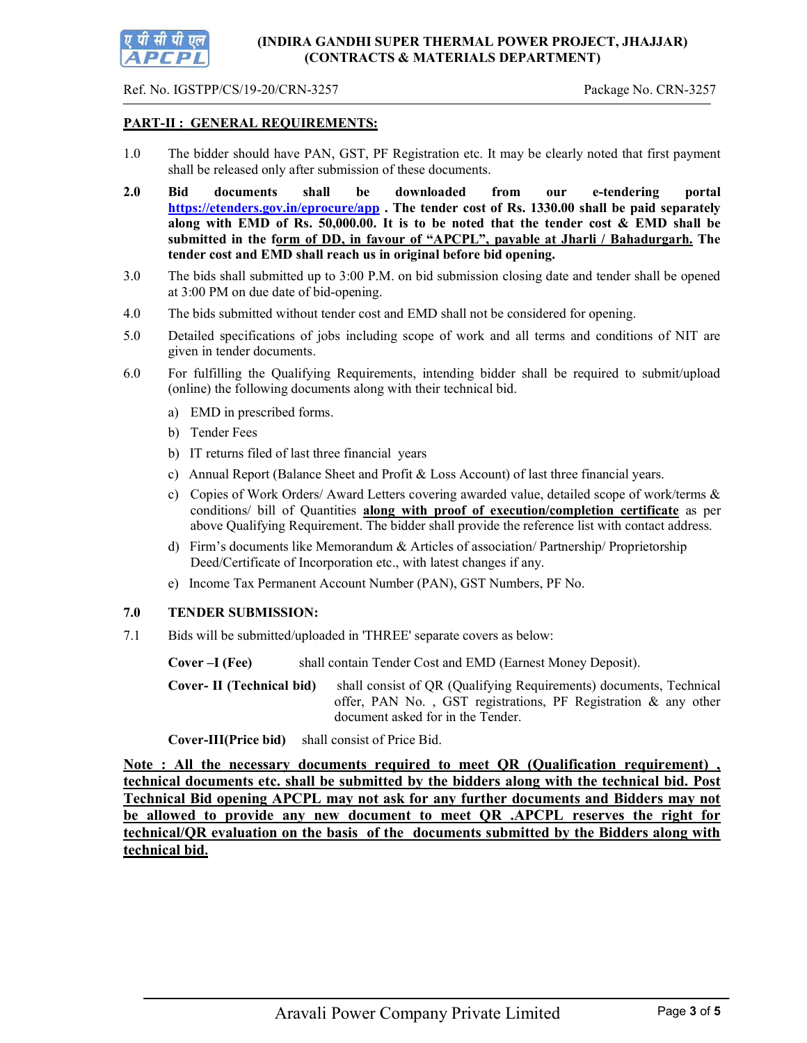

Ref. No. IGSTPP/CS/19-20/CRN-3257 Package No. CRN-3257

# PART-II : GENERAL REQUIREMENTS:

- 1.0 The bidder should have PAN, GST, PF Registration etc. It may be clearly noted that first payment shall be released only after submission of these documents.
- 2.0 Bid documents shall be downloaded from our e-tendering portal https://etenders.gov.in/eprocure/app. The tender cost of Rs. 1330.00 shall be paid separately along with EMD of Rs.  $50,000.00$ . It is to be noted that the tender cost  $\&$  EMD shall be submitted in the form of DD, in favour of "APCPL", payable at Jharli / Bahadurgarh. The tender cost and EMD shall reach us in original before bid opening.
- 3.0 The bids shall submitted up to 3:00 P.M. on bid submission closing date and tender shall be opened at 3:00 PM on due date of bid-opening.
- 4.0 The bids submitted without tender cost and EMD shall not be considered for opening.
- 5.0 Detailed specifications of jobs including scope of work and all terms and conditions of NIT are given in tender documents.
- 6.0 For fulfilling the Qualifying Requirements, intending bidder shall be required to submit/upload (online) the following documents along with their technical bid.
	- a) EMD in prescribed forms.
	- b) Tender Fees
	- b) IT returns filed of last three financial years
	- c) Annual Report (Balance Sheet and Profit & Loss Account) of last three financial years.
	- c) Copies of Work Orders/ Award Letters covering awarded value, detailed scope of work/terms & conditions/ bill of Quantities along with proof of execution/completion certificate as per above Qualifying Requirement. The bidder shall provide the reference list with contact address.
	- d) Firm's documents like Memorandum & Articles of association/ Partnership/ Proprietorship Deed/Certificate of Incorporation etc., with latest changes if any.
	- e) Income Tax Permanent Account Number (PAN), GST Numbers, PF No.

#### 7.0 TENDER SUBMISSION:

7.1 Bids will be submitted/uploaded in 'THREE' separate covers as below:

Cover –I (Fee) shall contain Tender Cost and EMD (Earnest Money Deposit).

Cover- II (Technical bid) shall consist of QR (Qualifying Requirements) documents, Technical offer, PAN No. , GST registrations, PF Registration & any other document asked for in the Tender.

Cover-III(Price bid) shall consist of Price Bid.

Note : All the necessary documents required to meet QR (Qualification requirement) , technical documents etc. shall be submitted by the bidders along with the technical bid. Post Technical Bid opening APCPL may not ask for any further documents and Bidders may not be allowed to provide any new document to meet QR .APCPL reserves the right for technical/QR evaluation on the basis of the documents submitted by the Bidders along with technical bid.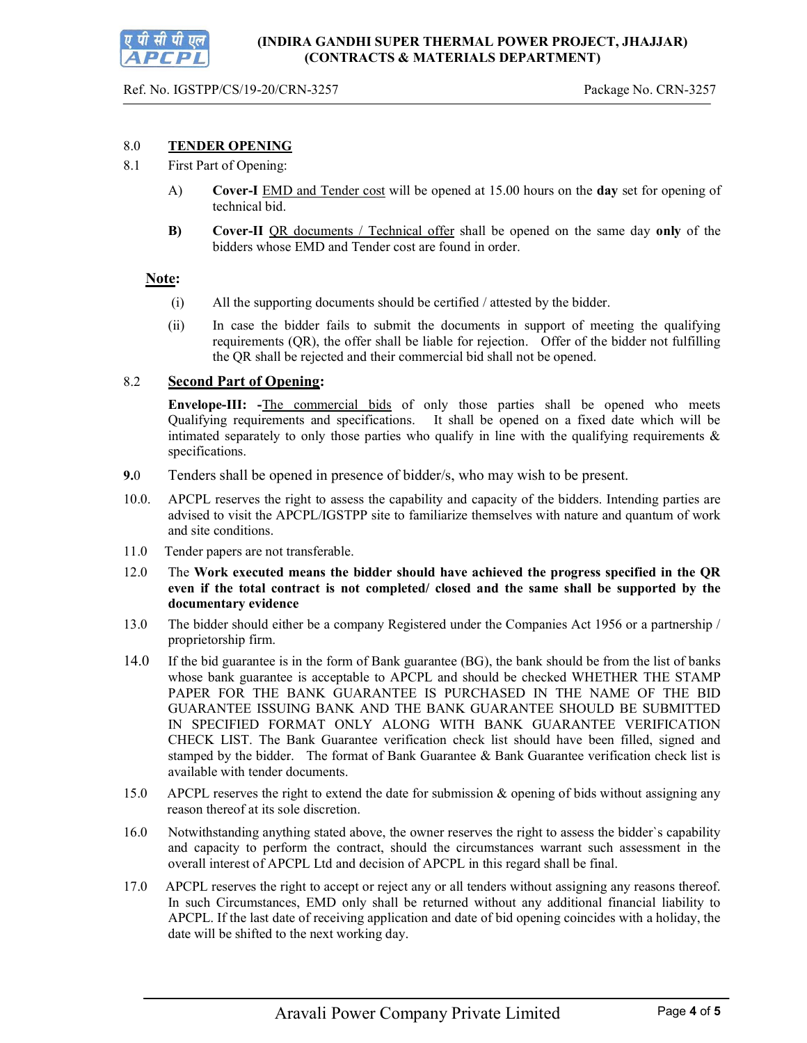#### 8.0 TENDER OPENING

- 8.1 First Part of Opening:
	- A) Cover-I EMD and Tender cost will be opened at 15.00 hours on the day set for opening of technical bid.
	- B) Cover-II QR documents / Technical offer shall be opened on the same day only of the bidders whose EMD and Tender cost are found in order.

#### Note:

- (i) All the supporting documents should be certified / attested by the bidder.
- (ii) In case the bidder fails to submit the documents in support of meeting the qualifying requirements (QR), the offer shall be liable for rejection. Offer of the bidder not fulfilling the QR shall be rejected and their commercial bid shall not be opened.

## 8.2 Second Part of Opening:

Envelope-III: -The commercial bids of only those parties shall be opened who meets Qualifying requirements and specifications. It shall be opened on a fixed date which will be intimated separately to only those parties who qualify in line with the qualifying requirements  $\&$ specifications.

- 9.0 Tenders shall be opened in presence of bidder/s, who may wish to be present.
- 10.0. APCPL reserves the right to assess the capability and capacity of the bidders. Intending parties are advised to visit the APCPL/IGSTPP site to familiarize themselves with nature and quantum of work and site conditions.
- 11.0 Tender papers are not transferable.
- 12.0 The Work executed means the bidder should have achieved the progress specified in the QR even if the total contract is not completed/ closed and the same shall be supported by the documentary evidence
- 13.0 The bidder should either be a company Registered under the Companies Act 1956 or a partnership / proprietorship firm.
- 14.0 If the bid guarantee is in the form of Bank guarantee (BG), the bank should be from the list of banks whose bank guarantee is acceptable to APCPL and should be checked WHETHER THE STAMP PAPER FOR THE BANK GUARANTEE IS PURCHASED IN THE NAME OF THE BID GUARANTEE ISSUING BANK AND THE BANK GUARANTEE SHOULD BE SUBMITTED IN SPECIFIED FORMAT ONLY ALONG WITH BANK GUARANTEE VERIFICATION CHECK LIST. The Bank Guarantee verification check list should have been filled, signed and stamped by the bidder. The format of Bank Guarantee & Bank Guarantee verification check list is available with tender documents.
- 15.0 APCPL reserves the right to extend the date for submission & opening of bids without assigning any reason thereof at its sole discretion.
- 16.0 Notwithstanding anything stated above, the owner reserves the right to assess the bidder`s capability and capacity to perform the contract, should the circumstances warrant such assessment in the overall interest of APCPL Ltd and decision of APCPL in this regard shall be final.
- 17.0 APCPL reserves the right to accept or reject any or all tenders without assigning any reasons thereof. In such Circumstances, EMD only shall be returned without any additional financial liability to APCPL. If the last date of receiving application and date of bid opening coincides with a holiday, the date will be shifted to the next working day.